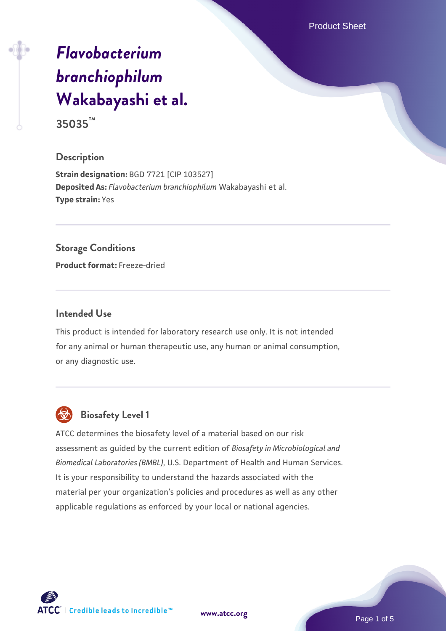Product Sheet

# *[Flavobacterium](https://www.atcc.org/products/35035) [branchiophilum](https://www.atcc.org/products/35035)* **[Wakabayashi et al.](https://www.atcc.org/products/35035)**

# **35035™**

#### **Description**

**Strain designation:** BGD 7721 [CIP 103527] **Deposited As:** *Flavobacterium branchiophilum* Wakabayashi et al. **Type strain:** Yes

#### **Storage Conditions**

**Product format:** Freeze-dried

#### **Intended Use**

This product is intended for laboratory research use only. It is not intended for any animal or human therapeutic use, any human or animal consumption, or any diagnostic use.



### **Biosafety Level 1**

ATCC determines the biosafety level of a material based on our risk assessment as guided by the current edition of *Biosafety in Microbiological and Biomedical Laboratories (BMBL)*, U.S. Department of Health and Human Services. It is your responsibility to understand the hazards associated with the material per your organization's policies and procedures as well as any other applicable regulations as enforced by your local or national agencies.

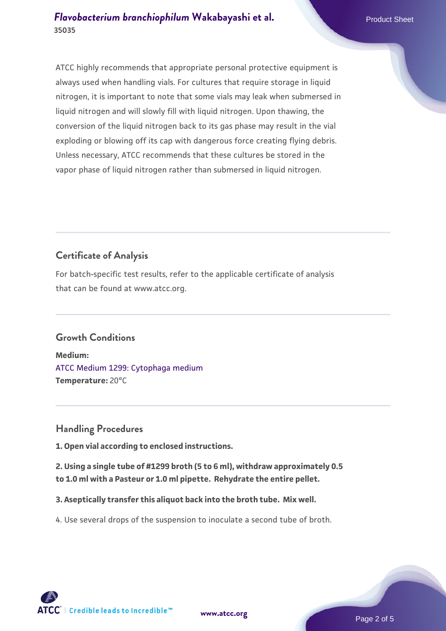ATCC highly recommends that appropriate personal protective equipment is always used when handling vials. For cultures that require storage in liquid nitrogen, it is important to note that some vials may leak when submersed in liquid nitrogen and will slowly fill with liquid nitrogen. Upon thawing, the conversion of the liquid nitrogen back to its gas phase may result in the vial exploding or blowing off its cap with dangerous force creating flying debris. Unless necessary, ATCC recommends that these cultures be stored in the vapor phase of liquid nitrogen rather than submersed in liquid nitrogen.

## **Certificate of Analysis**

For batch-specific test results, refer to the applicable certificate of analysis that can be found at www.atcc.org.

#### **Growth Conditions**

**Medium:**  [ATCC Medium 1299: Cytophaga medium](https://www.atcc.org/-/media/product-assets/documents/microbial-media-formulations/atcc-medium-1299.pdf?rev=faecd9d9c39e4817a80d1a4dd6c7c53a) **Temperature:** 20°C

#### **Handling Procedures**

**1. Open vial according to enclosed instructions.**

**2. Using a single tube of #1299 broth (5 to 6 ml), withdraw approximately 0.5 to 1.0 ml with a Pasteur or 1.0 ml pipette. Rehydrate the entire pellet.**

**3. Aseptically transfer this aliquot back into the broth tube. Mix well.**

4. Use several drops of the suspension to inoculate a second tube of broth.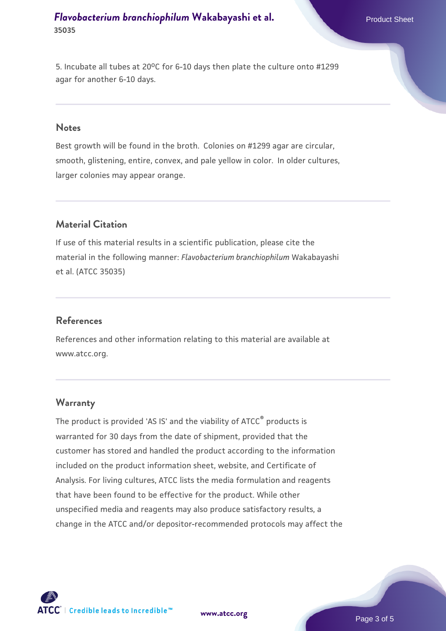#### *[Flavobacterium branchiophilum](https://www.atcc.org/products/35035)* [Wakabayashi et al.](https://www.atcc.org/products/35035) Product Sheet **35035**

5. Incubate all tubes at 20°C for 6-10 days then plate the culture onto #1299 agar for another 6-10 days.

#### **Notes**

Best growth will be found in the broth. Colonies on #1299 agar are circular, smooth, glistening, entire, convex, and pale yellow in color. In older cultures, larger colonies may appear orange.

#### **Material Citation**

If use of this material results in a scientific publication, please cite the material in the following manner: *Flavobacterium branchiophilum* Wakabayashi et al. (ATCC 35035)

#### **References**

References and other information relating to this material are available at www.atcc.org.

#### **Warranty**

The product is provided 'AS IS' and the viability of ATCC® products is warranted for 30 days from the date of shipment, provided that the customer has stored and handled the product according to the information included on the product information sheet, website, and Certificate of Analysis. For living cultures, ATCC lists the media formulation and reagents that have been found to be effective for the product. While other unspecified media and reagents may also produce satisfactory results, a change in the ATCC and/or depositor-recommended protocols may affect the



**[www.atcc.org](http://www.atcc.org)**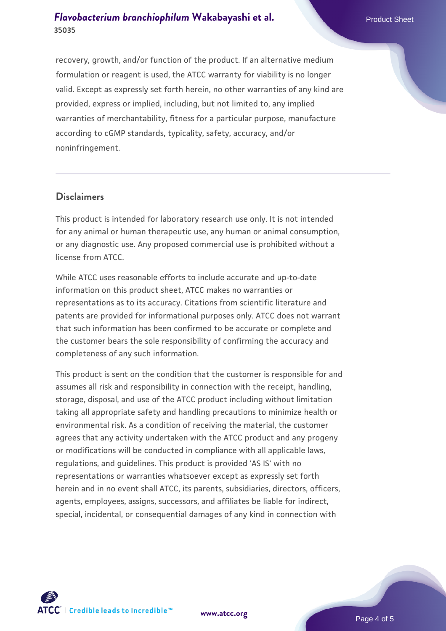#### *[Flavobacterium branchiophilum](https://www.atcc.org/products/35035)* [Wakabayashi et al.](https://www.atcc.org/products/35035) Product Sheet **35035**

recovery, growth, and/or function of the product. If an alternative medium formulation or reagent is used, the ATCC warranty for viability is no longer valid. Except as expressly set forth herein, no other warranties of any kind are provided, express or implied, including, but not limited to, any implied warranties of merchantability, fitness for a particular purpose, manufacture according to cGMP standards, typicality, safety, accuracy, and/or noninfringement.

#### **Disclaimers**

This product is intended for laboratory research use only. It is not intended for any animal or human therapeutic use, any human or animal consumption, or any diagnostic use. Any proposed commercial use is prohibited without a license from ATCC.

While ATCC uses reasonable efforts to include accurate and up-to-date information on this product sheet, ATCC makes no warranties or representations as to its accuracy. Citations from scientific literature and patents are provided for informational purposes only. ATCC does not warrant that such information has been confirmed to be accurate or complete and the customer bears the sole responsibility of confirming the accuracy and completeness of any such information.

This product is sent on the condition that the customer is responsible for and assumes all risk and responsibility in connection with the receipt, handling, storage, disposal, and use of the ATCC product including without limitation taking all appropriate safety and handling precautions to minimize health or environmental risk. As a condition of receiving the material, the customer agrees that any activity undertaken with the ATCC product and any progeny or modifications will be conducted in compliance with all applicable laws, regulations, and guidelines. This product is provided 'AS IS' with no representations or warranties whatsoever except as expressly set forth herein and in no event shall ATCC, its parents, subsidiaries, directors, officers, agents, employees, assigns, successors, and affiliates be liable for indirect, special, incidental, or consequential damages of any kind in connection with



**[www.atcc.org](http://www.atcc.org)**

Page 4 of 5